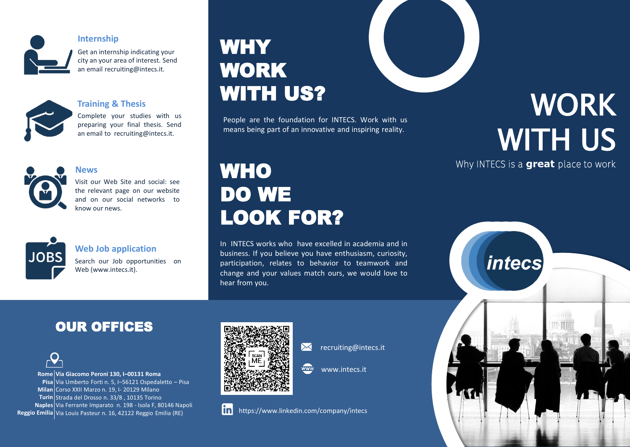

#### **Internship**

Get an internship indicating your city an your area of interest. Send an email recruiting@intecs.it.



#### **Training & Thesis**

Complete your studies with us preparing your final thesis. Send an email to recruiting@intecs.it.



#### **News**

Visit our Web Site and social: see the relevant page on our website and on our social networks to know our news.



#### **Web Job application**

Search our Job opportunities on Web (www.intecs.it).

# **WHY** WORK WITH US?

People are the foundation for INTECS. Work with us means being part of an innovative and inspiring reality.

## **WHO** DO WE LOOK FOR?

In INTECS works who have excelled in academia and in business. If you believe you have enthusiasm, curiosity, participation, relates to behavior to teamwork and change and your values match ours, we would love to hear from you.

# WORK WITH US

Why INTECS is a **great** place to work

*intecs* 





**Rome Via Giacomo Peroni 130, I–00131 Roma Pisa** Via Umberto Forti n. 5, I–56121 Ospedaletto – Pisa **Milan** Corso XXII Marzo n. 19, I- 20129 Milano **Turin** Strada del Drosso n. 33/8 , 10135 Torino **Naples** Via Ferrante Imparato n. 198 - Isola F, 80146 Napoli **Reggio Emilia** Via Louis Pasteur n. 16, 42122 Reggio Emilia (RE)



 $\boxtimes$ recruiting@intecs.it

www.intecs.it  $\overline{www}$ 

#### linl https://www.linkedin.com/company/intecs